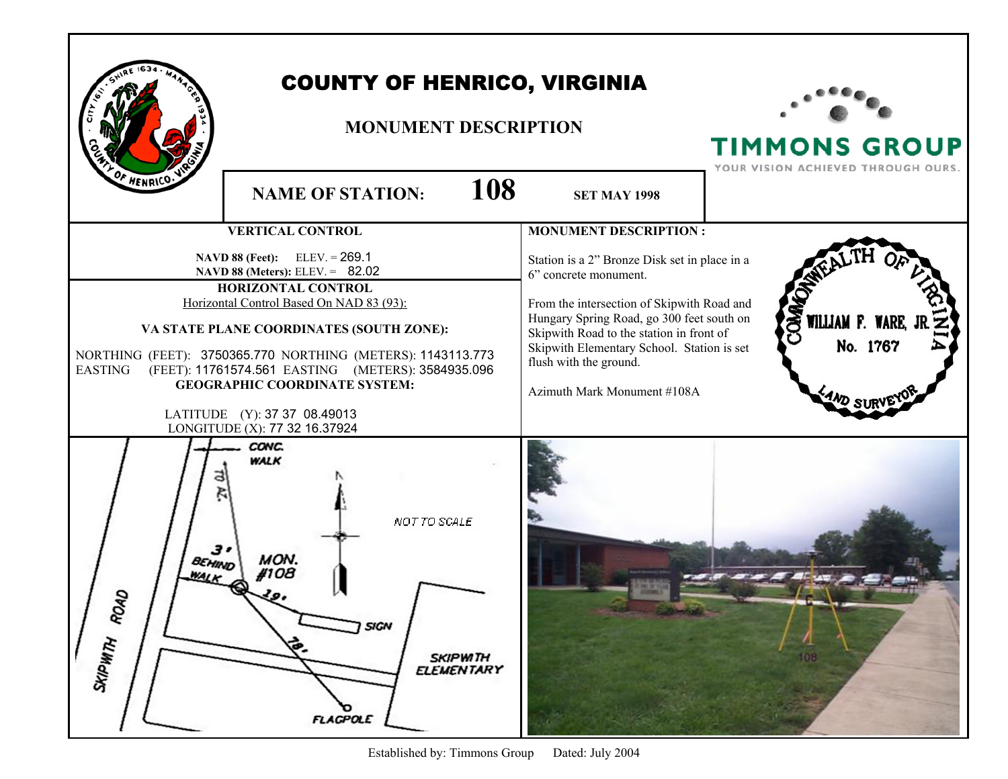|                                                                 | <b>COUNTY OF HENRICO, VIRGINIA</b><br><b>MONUMENT DESCRIPTION</b>                                                                                                                                                                                                                                                                                                                                                       | <b>TIMMONS GROUP</b><br>YOUR VISION ACHIEVED THROUGH OURS.                                                                                                                                                                                                                                                           |                                     |
|-----------------------------------------------------------------|-------------------------------------------------------------------------------------------------------------------------------------------------------------------------------------------------------------------------------------------------------------------------------------------------------------------------------------------------------------------------------------------------------------------------|----------------------------------------------------------------------------------------------------------------------------------------------------------------------------------------------------------------------------------------------------------------------------------------------------------------------|-------------------------------------|
| F HENRICO.                                                      | 108<br><b>NAME OF STATION:</b>                                                                                                                                                                                                                                                                                                                                                                                          | <b>SET MAY 1998</b>                                                                                                                                                                                                                                                                                                  |                                     |
|                                                                 | <b>VERTICAL CONTROL</b>                                                                                                                                                                                                                                                                                                                                                                                                 | <b>MONUMENT DESCRIPTION:</b>                                                                                                                                                                                                                                                                                         |                                     |
| <b>EASTING</b>                                                  | $ELEV = 269.1$<br><b>NAVD 88 (Feet):</b><br>NAVD 88 (Meters): ELEV. = 82.02<br>HORIZONTAL CONTROL<br>Horizontal Control Based On NAD 83 (93):<br>VA STATE PLANE COORDINATES (SOUTH ZONE):<br>NORTHING (FEET): 3750365.770 NORTHING (METERS): 1143113.773<br>(FEET): 11761574.561 EASTING (METERS): 3584935.096<br><b>GEOGRAPHIC COORDINATE SYSTEM:</b><br>LATITUDE (Y): 37 37 08.49013<br>LONGITUDE (X): 77 32 16.37924 | Station is a 2" Bronze Disk set in place in a<br>6" concrete monument.<br>From the intersection of Skipwith Road and<br>Hungary Spring Road, go 300 feet south on<br>Skipwith Road to the station in front of<br>Skipwith Elementary School. Station is set<br>flush with the ground.<br>Azimuth Mark Monument #108A | COM<br>WILLIAM F. WARE,<br>No. 1767 |
| 3,<br><b>BEHIND</b><br><b>WALK</b><br>ð<br>æ<br><b>SKIPWITH</b> | CONC.<br><b>WALK</b><br>NOT TO SCALE<br>MON.<br>#108<br><b>SIGN</b><br>P.<br><b>SKIPWTH</b><br><b>ELEMENTARY</b><br><b>FLAGPOLE</b>                                                                                                                                                                                                                                                                                     |                                                                                                                                                                                                                                                                                                                      | TOB                                 |